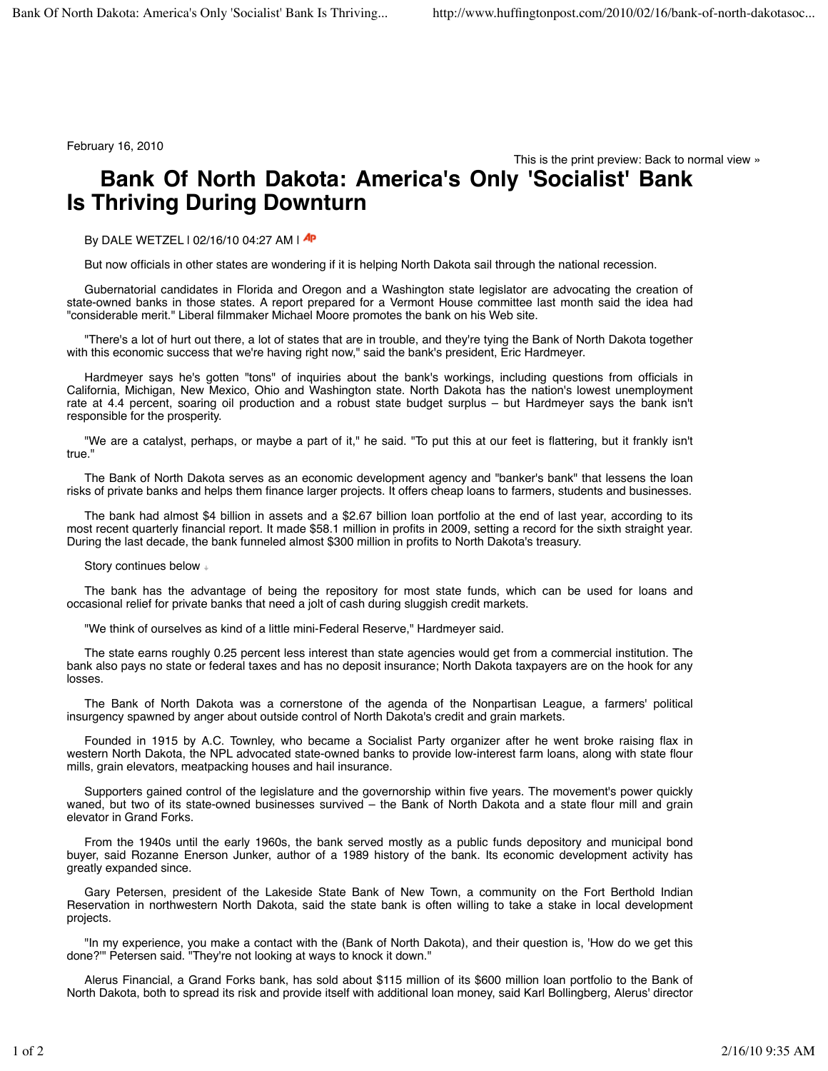February 16, 2010

This is the print preview: Back to normal view »

## **Bank Of North Dakota: America's Only 'Socialist' Bank Is Thriving During Downturn**

By DALE WETZEL | 02/16/10 04:27 AM | <sup>4P</sup>

But now officials in other states are wondering if it is helping North Dakota sail through the national recession.

Gubernatorial candidates in Florida and Oregon and a Washington state legislator are advocating the creation of state-owned banks in those states. A report prepared for a Vermont House committee last month said the idea had "considerable merit." Liberal filmmaker Michael Moore promotes the bank on his Web site.

"There's a lot of hurt out there, a lot of states that are in trouble, and they're tying the Bank of North Dakota together with this economic success that we're having right now," said the bank's president, Eric Hardmeyer.

Hardmeyer says he's gotten "tons" of inquiries about the bank's workings, including questions from officials in California, Michigan, New Mexico, Ohio and Washington state. North Dakota has the nation's lowest unemployment rate at 4.4 percent, soaring oil production and a robust state budget surplus – but Hardmeyer says the bank isn't responsible for the prosperity.

"We are a catalyst, perhaps, or maybe a part of it," he said. "To put this at our feet is flattering, but it frankly isn't true."

The Bank of North Dakota serves as an economic development agency and "banker's bank" that lessens the loan risks of private banks and helps them finance larger projects. It offers cheap loans to farmers, students and businesses.

The bank had almost \$4 billion in assets and a \$2.67 billion loan portfolio at the end of last year, according to its most recent quarterly financial report. It made \$58.1 million in profits in 2009, setting a record for the sixth straight year. During the last decade, the bank funneled almost \$300 million in profits to North Dakota's treasury.

Story continues below

The bank has the advantage of being the repository for most state funds, which can be used for loans and occasional relief for private banks that need a jolt of cash during sluggish credit markets.

"We think of ourselves as kind of a little mini-Federal Reserve," Hardmeyer said.

The state earns roughly 0.25 percent less interest than state agencies would get from a commercial institution. The bank also pays no state or federal taxes and has no deposit insurance; North Dakota taxpayers are on the hook for any losses.

The Bank of North Dakota was a cornerstone of the agenda of the Nonpartisan League, a farmers' political insurgency spawned by anger about outside control of North Dakota's credit and grain markets.

Founded in 1915 by A.C. Townley, who became a Socialist Party organizer after he went broke raising flax in western North Dakota, the NPL advocated state-owned banks to provide low-interest farm loans, along with state flour mills, grain elevators, meatpacking houses and hail insurance.

Supporters gained control of the legislature and the governorship within five years. The movement's power quickly waned, but two of its state-owned businesses survived – the Bank of North Dakota and a state flour mill and grain elevator in Grand Forks.

From the 1940s until the early 1960s, the bank served mostly as a public funds depository and municipal bond buyer, said Rozanne Enerson Junker, author of a 1989 history of the bank. Its economic development activity has greatly expanded since.

Gary Petersen, president of the Lakeside State Bank of New Town, a community on the Fort Berthold Indian Reservation in northwestern North Dakota, said the state bank is often willing to take a stake in local development projects.

"In my experience, you make a contact with the (Bank of North Dakota), and their question is, 'How do we get this done?'" Petersen said. "They're not looking at ways to knock it down."

Alerus Financial, a Grand Forks bank, has sold about \$115 million of its \$600 million loan portfolio to the Bank of North Dakota, both to spread its risk and provide itself with additional loan money, said Karl Bollingberg, Alerus' director